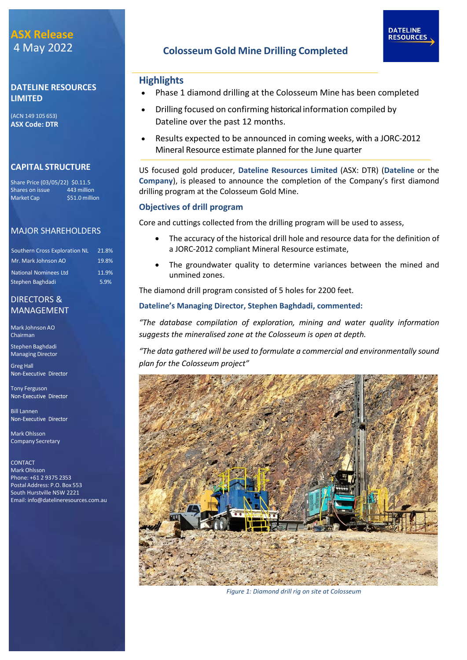# **ASX Release** 4 May 2022

## **DATELINE RESOURCES LIMITED**

(ACN 149 105 653) **ASX Code: DTR**

# **CAPITAL STRUCTURE**

Share Price (03/05/22) \$0.11.5 Shares on issue 443 million<br>Market Cap \$51.0 million \$51.0 million

# MAJOR SHAREHOLDERS

| <b>Southern Cross Exploration NL</b> | 21.8% |
|--------------------------------------|-------|
| Mr. Mark Johnson AO                  | 19.8% |
| <b>National Nominees Ltd</b>         | 11.9% |
| Stephen Baghdadi                     | 5.9%  |

## DIRECTORS & MANAGEMENT

Mark Johnson AO Chairman

Stephen Baghdadi Managing Director

Greg Hall<br>Non-Executive Director

Tony Ferguson Non-Executive Director

**Bill Lannen**<br>Non-Executive Director

Mark Ohlsson Company Secretary

CONTACT Mark Ohlsson Phone: +61 2 9375 2353 Postal Address: P.O. Box 553 South Hurstville NSW 2221 Email: [info@datelineresources.com.au](mailto:info@datelineresources.com.au)

# **Colosseum Gold Mine Drilling Completed**

## **Highlights**

• Phase 1 diamond drilling at the Colosseum Mine has been completed

**DATELINE RESOURCES** 

- Drilling focused on confirming historical information compiled by Dateline over the past 12 months.
- Results expected to be announced in coming weeks, with a JORC-2012 Mineral Resource estimate planned for the June quarter

US focused gold producer, **Dateline Resources Limited** (ASX: DTR) (**Dateline** or the **Company**), is pleased to announce the completion of the Company's first diamond drilling program at the Colosseum Gold Mine.

### **Objectives of drill program**

Core and cuttings collected from the drilling program will be used to assess,

- The accuracy of the historical drill hole and resource data for the definition of a JORC-2012 compliant Mineral Resource estimate,
- The groundwater quality to determine variances between the mined and unmined zones.

The diamond drill program consisted of 5 holes for 2200 feet.

### **Dateline's Managing Director, Stephen Baghdadi, commented:**

*"The database compilation of exploration, mining and water quality information suggests the mineralised zone at the Colosseum is open at depth.*

*"The data gathered will be used to formulate a commercial and environmentally sound plan for the Colosseum project"*



 *Figure 1: Diamond drill rig on site at Colosseum*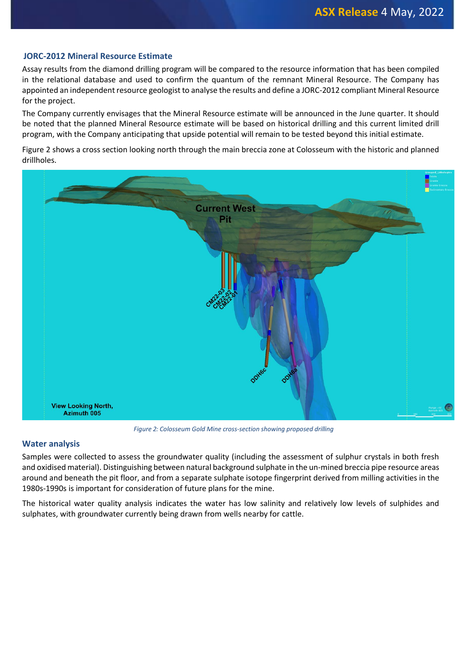#### **JORC-2012 Mineral Resource Estimate**

Assay results from the diamond drilling program will be compared to the resource information that has been compiled in the relational database and used to confirm the quantum of the remnant Mineral Resource. The Company has appointed an independent resource geologist to analyse the results and define a JORC-2012 compliant Mineral Resource for the project.

The Company currently envisages that the Mineral Resource estimate will be announced in the June quarter. It should be noted that the planned Mineral Resource estimate will be based on historical drilling and this current limited drill program, with the Company anticipating that upside potential will remain to be tested beyond this initial estimate.

Figure 2 shows a cross section looking north through the main breccia zone at Colosseum with the historic and planned drillholes.



*Figure 2: Colosseum Gold Mine cross-section showing proposed drilling*

#### **Water analysis**

Samples were collected to assess the groundwater quality (including the assessment of sulphur crystals in both fresh and oxidised material). Distinguishing between natural background sulphate in the un-mined breccia pipe resource areas around and beneath the pit floor, and from a separate sulphate isotope fingerprint derived from milling activities in the 1980s-1990s is important for consideration of future plans for the mine.

The historical water quality analysis indicates the water has low salinity and relatively low levels of sulphides and sulphates, with groundwater currently being drawn from wells nearby for cattle.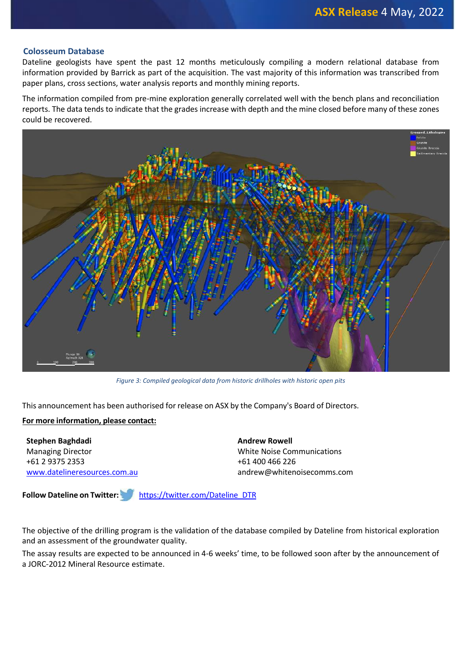#### **Colosseum Database**

Dateline geologists have spent the past 12 months meticulously compiling a modern relational database from information provided by Barrick as part of the acquisition. The vast majority of this information was transcribed from paper plans, cross sections, water analysis reports and monthly mining reports.

The information compiled from pre-mine exploration generally correlated well with the bench plans and reconciliation reports. The data tends to indicate that the grades increase with depth and the mine closed before many of these zones could be recovered.



*Figure 3: Compiled geological data from historic drillholes with historic open pits*

This announcement has been authorised for release on ASX by the Company's Board of Directors.

#### **For more information, please contact:**

**Stephen Baghdadi** Managing Director +61 2 9375 2353 [www.datelineresources.com.au](http://www.datelineresources.com.au/) **Andrew Rowell** White Noise Communications +61 400 466 226 andrew@whitenoisecomms.com

**Follow Dateline on Twitter:** [https://twitter.com/Dateline\\_DTR](https://twitter.com/Dateline_DTR)

The objective of the drilling program is the validation of the database compiled by Dateline from historical exploration and an assessment of the groundwater quality.

The assay results are expected to be announced in 4-6 weeks' time, to be followed soon after by the announcement of a JORC-2012 Mineral Resource estimate.